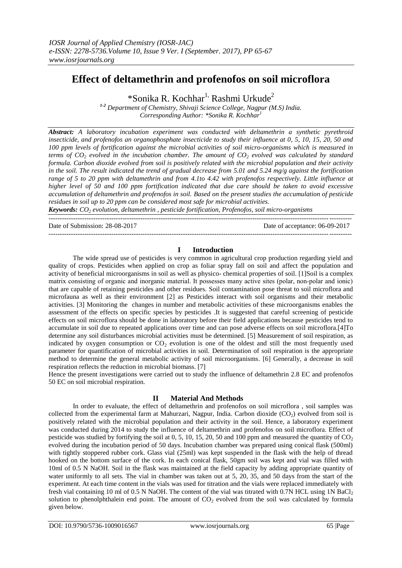# **Effect of deltamethrin and profenofos on soil microflora**

\*Sonika R. Kochhar<sup>1,</sup> Rashmi Urkude<sup>2</sup>

*1-2 Department of Chemistry, Shivaji Science College, Nagpur (M.S) India. Corresponding Author: \*Sonika R. Kochhar<sup>1</sup>*

*Abstract: A laboratory incubation experiment was conducted with deltamethrin a synthetic pyrethroid insecticide, and profenofos an organophosphate insecticide to study their influence at 0, 5, 10, 15, 20, 50 and 100 ppm levels of fortification against the microbial activities of soil micro-organisms which is measured in terms of CO<sup>2</sup> evolved in the incubation chamber. The amount of CO<sup>2</sup> evolved was calculated by standard formula. Carbon dioxide evolved from soil is positively related with the microbial population and their activity in the soil. The result indicated the trend of gradual decrease from 5.01 and 5.24 mg/g against the fortification range of 5 to 20 ppm with deltamethrin and from 4.1to 4.42 with profenofos respectively. Little influence at higher level of 50 and 100 ppm fortification indicated that due care should be taken to avoid excessive accumulation of deltamethrin and profenofos in soil. Based on the present studies the accumulation of pesticide residues in soil up to 20 ppm can be considered most safe for microbial activities.*

*Keywords: CO<sup>2</sup> evolution, deltamethrin , pesticide fortification, Profenofos, soil micro-organisms* ---------------------------------------------------------------------------------------------------------------------------------------

Date of Submission: 28-08-2017 Date of acceptance: 06-09-2017

### **I Introduction**

---------------------------------------------------------------------------------------------------------------------------------------

The wide spread use of pesticides is very common in agricultural crop production regarding yield and quality of crops. Pesticides when applied on crop as foliar spray fall on soil and affect the population and activity of beneficial microorganisms in soil as well as physico- chemical properties of soil. [1]Soil is a complex matrix consisting of organic and inorganic material. It possesses many active sites (polar, non‐polar and ionic) that are capable of retaining pesticides and other residues. Soil contamination pose threat to soil microflora and microfauna as well as their environment [2] as Pesticides interact with soil organisms and their metabolic activities. [3] Monitoring the changes in number and metabolic activities of these microorganisms enables the assessment of the effects on specific species by pesticides .It is suggested that careful screening of pesticide effects on soil microflora should be done in laboratory before their field applications because pesticides tend to accumulate in soil due to repeated applications over time and can pose adverse effects on soil microflora.[4]To determine any soil disturbances microbial activities must be determined. [5] Measurement of soil respiration, as indicated by oxygen consumption or  $CO<sub>2</sub>$  evolution is one of the oldest and still the most frequently used parameter for quantification of microbial activities in soil. Determination of soil respiration is the appropriate method to determine the general metabolic activity of soil microorganisms. [6] Generally, a decrease in soil respiration reflects the reduction in microbial biomass. [7]

Hence the present investigations were carried out to study the influence of deltamethrin 2.8 EC and profenofos 50 EC on soil microbial respiration.

## **II Material And Methods**

In order to evaluate, the effect of deltamethrin and profenofos on soil microflora , soil samples was collected from the experimental farm at Mahurzari, Nagpur, India. Carbon dioxide  $(CO<sub>2</sub>)$  evolved from soil is positively related with the microbial population and their activity in the soil. Hence, a laboratory experiment was conducted during 2014 to study the influence of deltamethrin and profenofos on soil microflora. Effect of pesticide was studied by fortifying the soil at  $0, 5, 10, 15, 20, 50$  and 100 ppm and measured the quantity of  $CO<sub>2</sub>$ evolved during the incubation period of 50 days. Incubation chamber was prepared using conical flask (500ml) with tightly stoppered rubber cork. Glass vial (25ml) was kept suspended in the flask with the help of thread hooked on the bottom surface of the cork. In each conical flask, 50gm soil was kept and vial was filled with 10ml of 0.5 N NaOH. Soil in the flask was maintained at the field capacity by adding appropriate quantity of water uniformly to all sets. The vial in chamber was taken out at 5, 20, 35, and 50 days from the start of the experiment. At each time content in the vials was used for titration and the vials were replaced immediately with fresh vial containing 10 ml of 0.5 N NaOH. The content of the vial was titrated with 0.7N HCL using 1N BaCl<sub>2</sub> solution to phenolphthalein end point. The amount of  $CO<sub>2</sub>$  evolved from the soil was calculated by formula given below.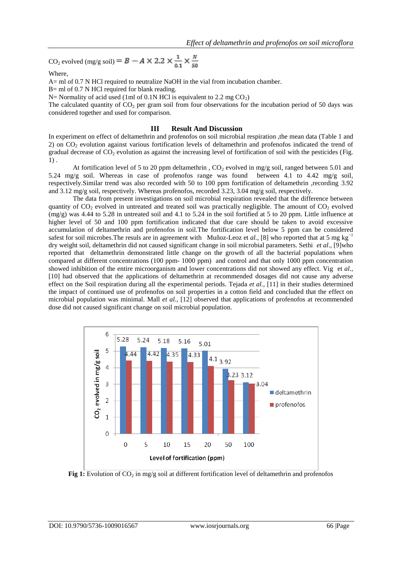CO<sub>2</sub> evolved (mg/g soil) =  $B - A \times 2.2 \times \frac{1}{0.1} \times \frac{N}{50}$ 

Where,

A= ml of 0.7 N HCl required to neutralize NaOH in the vial from incubation chamber.

B= ml of 0.7 N HCl required for blank reading.

N= Normality of acid used (1ml of 0.1N HCl is equivalent to 2.2 mg  $CO<sub>2</sub>$ )

The calculated quantity of  $CO<sub>2</sub>$  per gram soil from four observations for the incubation period of 50 days was considered together and used for comparison.

#### **III Result And Discussion**

In experiment on effect of deltamethrin and profenofos on soil microbial respiration ,the mean data (Table 1 and 2) on  $CO<sub>2</sub>$  evolution against various fortification levels of deltamethrin and profenofos indicated the trend of gradual decrease of  $CO_2$  evolution as against the increasing level of fortification of soil with the pesticides (Fig. 1) .

At fortification level of 5 to 20 ppm deltamethrin ,  $CO<sub>2</sub>$  evolved in mg/g soil, ranged between 5.01 and 5.24 mg/g soil. Whereas in case of profenofos range was found between 4.1 to 4.42 mg/g soil, respectively.Similar trend was also recorded with 50 to 100 ppm fortification of deltamethrin ,recording 3.92 and 3.12 mg/g soil, respectively. Whereas profenofos, recorded 3.23, 3.04 mg/g soil, respectively.

The data from present investigations on soil microbial respiration revealed that the difference between quantity of  $CO<sub>2</sub>$  evolved in untreated and treated soil was practically negligible. The amount of  $CO<sub>2</sub>$  evolved  $(mg/g)$  was 4.44 to 5.28 in untreated soil and 4.1 to 5.24 in the soil fortified at 5 to 20 ppm. Little influence at higher level of 50 and 100 ppm fortification indicated that due care should be taken to avoid excessive accumulation of deltamethrin and profenofos in soil.The fortification level below 5 ppm can be considered safest for soil microbes. The resuls are in agreement with Muñoz-Leoz et *al.*, [8] who reported that at 5 mg kg<sup> $-1$ </sup> dry weight soil, deltamethrin did not caused significant change in soil microbial parameters. Sethi *et al*., [9]who reported that deltamethrin demonstrated little change on the growth of all the bacterial populations when compared at different concentrations (100 ppm- 1000 ppm) and control and that only 1000 ppm concentration showed inhibition of the entire microorganism and lower concentrations did not showed any effect. Vig et *al.,* [10] had observed that the applications of deltamethrin at recommended dosages did not cause any adverse effect on the Soil respiration during all the experimental periods. Tejada *et al.,* [11] in their studies determined the impact of continued use of profenofos on soil properties in a cotton field and concluded that the effect on microbial population was minimal. Mall *et al.,* [12] observed that applications of profenofos at recommended dose did not caused significant change on soil microbial population.



**Fig 1:** Evolution of  $CO_2$  in mg/g soil at different fortification level of deltamethrin and profenofos